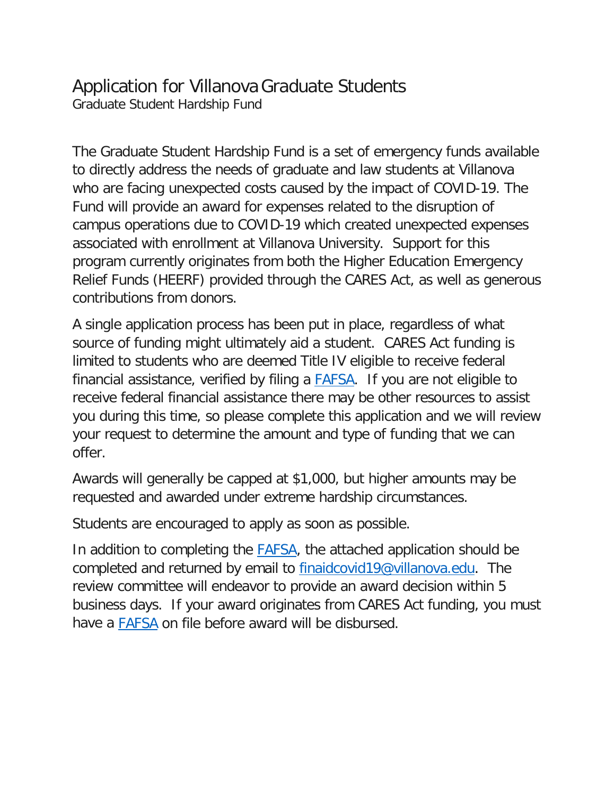## Application for VillanovaGraduate Students Graduate Student Hardship Fund

The Graduate Student Hardship Fund is a set of emergency funds available to directly address the needs of graduate and law students at Villanova who are facing unexpected costs caused by the impact of COVID-19. The Fund will provide an award for expenses related to the disruption of campus operations due to COVID-19 which created unexpected expenses associated with enrollment at Villanova University. Support for this program currently originates from both the Higher Education Emergency Relief Funds (HEERF) provided through the CARES Act, as well as generous contributions from donors.

A single application process has been put in place, regardless of what source of funding might ultimately aid a student. CARES Act funding is limited to students who are deemed Title IV eligible to receive federal financial assistance, verified by filing a [FAFSA.](https://studentaid.gov/h/apply-for-aid/fafsa) If you are not eligible to receive federal financial assistance there may be other resources to assist you during this time, so please complete this application and we will review your request to determine the amount and type of funding that we can offer.

Awards will generally be capped at \$1,000, but higher amounts may be requested and awarded under extreme hardship circumstances.

Students are encouraged to apply as soon as possible.

In addition to completing the **FAFSA**, the attached application should be completed and returned by email to [finaidcovid19@villanova.edu.](mailto:finaidcovid19@villanova.edu) The review committee will endeavor to provide an award decision within 5 business days. If your award originates from CARES Act funding, you must have a **FAFSA** on file before award will be disbursed.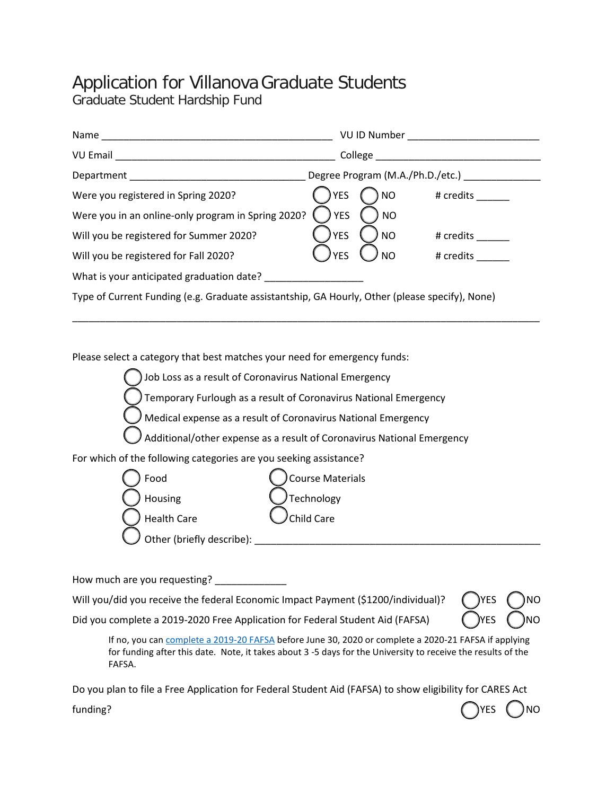## Application for VillanovaGraduate Students

Graduate Student Hardship Fund

| Name                                                                                           |                                  | <b>VU ID Number</b> |           |
|------------------------------------------------------------------------------------------------|----------------------------------|---------------------|-----------|
| <b>VU Email</b>                                                                                | College                          |                     |           |
| Department                                                                                     | Degree Program (M.A./Ph.D./etc.) |                     |           |
| Were you registered in Spring 2020?                                                            | <b>YES</b>                       | <b>NO</b>           | # credits |
| Were you in an online-only program in Spring 2020?                                             | <b>YES</b>                       | <b>NO</b>           |           |
| Will you be registered for Summer 2020?                                                        | <b>YES</b>                       | <b>NO</b>           | # credits |
| Will you be registered for Fall 2020?                                                          | <b>YES</b>                       | <b>NO</b>           | # credits |
| What is your anticipated graduation date?                                                      |                                  |                     |           |
| Type of Current Funding (e.g. Graduate assistantship, GA Hourly, Other (please specify), None) |                                  |                     |           |

\_\_\_\_\_\_\_\_\_\_\_\_\_\_\_\_\_\_\_\_\_\_\_\_\_\_\_\_\_\_\_\_\_\_\_\_\_\_\_\_\_\_\_\_\_\_\_\_\_\_\_\_\_\_\_\_\_\_\_\_\_\_\_\_\_\_\_\_\_\_\_\_\_\_\_\_\_\_\_\_\_\_\_\_\_

Please select a category that best matches your need for emergency funds:



How much are you requesting? \_\_\_\_\_\_\_\_\_\_\_\_\_

Will you/did you receive the federal Economic Impact Payment (\$1200/individual)?

| <b>)YES</b> | INO        |
|-------------|------------|
| )YES        | <b>INO</b> |

Did you complete a 2019-2020 Free Application for Federal Student Aid (FAFSA)

If no, you can [complete a 2019-20 FAFSA](https://studentaid.gov/h/apply-for-aid/fafsa/) before June 30, 2020 or complete a 2020-21 FAFSA if applying for funding after this date. Note, it takes about 3 -5 days for the University to receive the results of the FAFSA.

Do you plan to file a Free Application for Federal Student Aid (FAFSA) to show eligibility for CARES Act

funding? ( ) NO